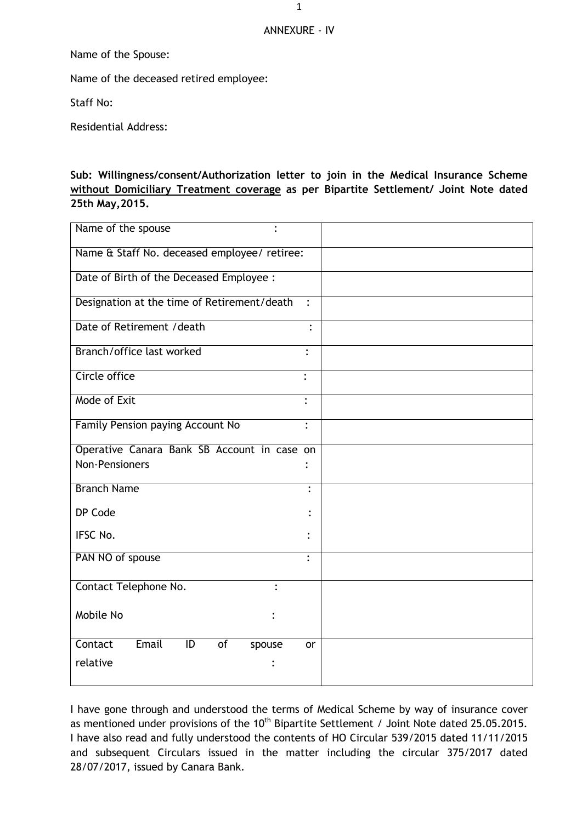## ANNEXURE - IV

Name of the Spouse:

Name of the deceased retired employee:

Staff No:

Residential Address:

## **Sub: Willingness/consent/Authorization letter to join in the Medical Insurance Scheme without Domiciliary Treatment coverage as per Bipartite Settlement/ Joint Note dated 25th May,2015.**

| Name of the spouse                                              |                      |
|-----------------------------------------------------------------|----------------------|
| Name & Staff No. deceased employee/ retiree:                    |                      |
| Date of Birth of the Deceased Employee :                        |                      |
| Designation at the time of Retirement/death                     | $\ddot{\cdot}$       |
| Date of Retirement / death                                      |                      |
| Branch/office last worked                                       |                      |
| Circle office                                                   |                      |
| Mode of Exit                                                    | $\ddot{\cdot}$       |
| Family Pension paying Account No                                | $\ddot{\cdot}$       |
| Operative Canara Bank SB Account in case on                     |                      |
| <b>Non-Pensioners</b>                                           |                      |
| <b>Branch Name</b>                                              | $\ddot{\phantom{a}}$ |
| DP Code                                                         |                      |
| IFSC No.                                                        |                      |
| PAN NO of spouse                                                | $\ddot{\cdot}$       |
| Contact Telephone No.                                           |                      |
| Mobile No                                                       |                      |
| Email<br>Contact<br>$\overline{1}$<br>$\overline{of}$<br>spouse | or                   |
| relative                                                        |                      |

I have gone through and understood the terms of Medical Scheme by way of insurance cover as mentioned under provisions of the 10<sup>th</sup> Bipartite Settlement / Joint Note dated 25.05.2015. I have also read and fully understood the contents of HO Circular 539/2015 dated 11/11/2015 and subsequent Circulars issued in the matter including the circular 375/2017 dated 28/07/2017, issued by Canara Bank.